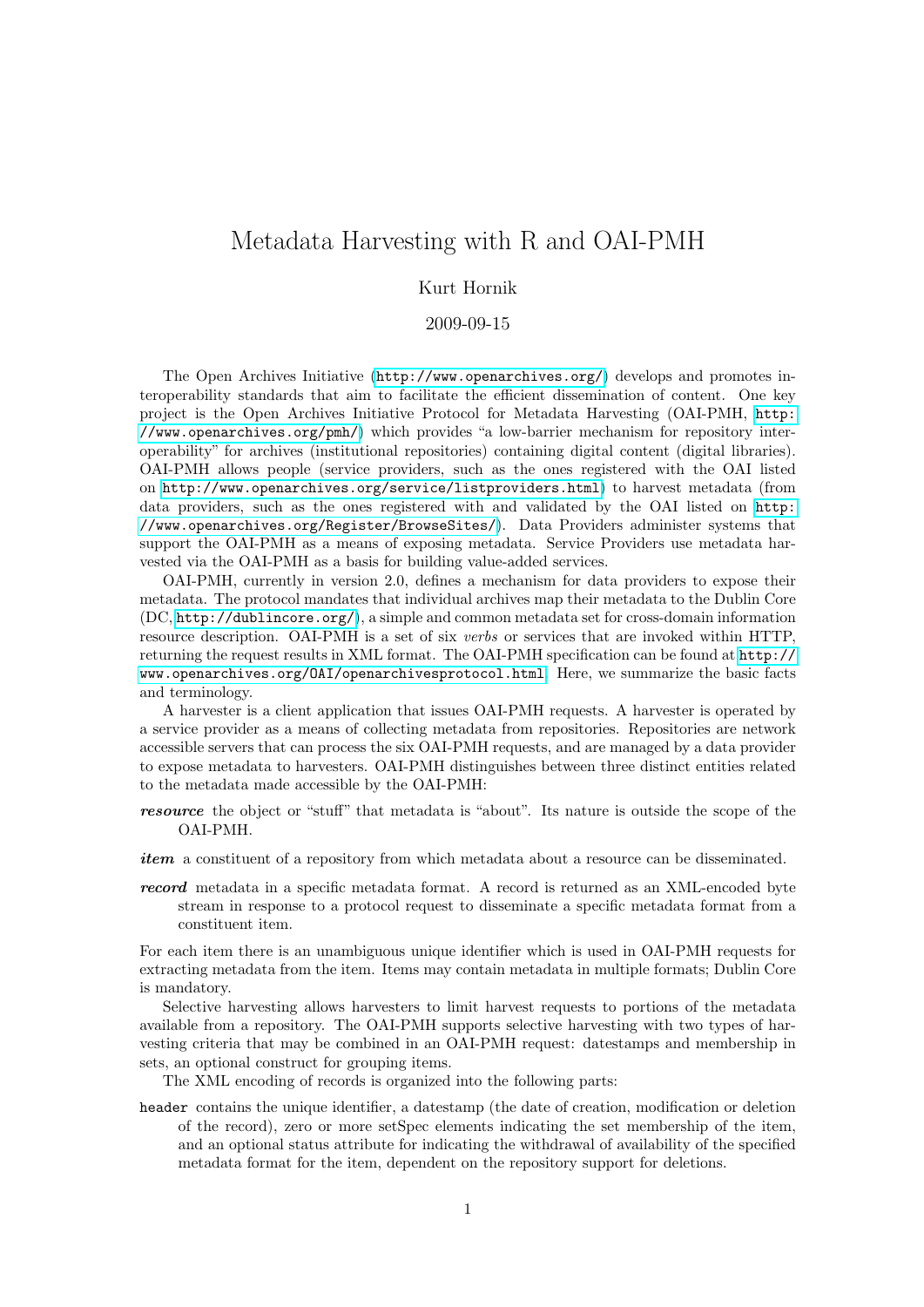## Metadata Harvesting with R and OAI-PMH

## Kurt Hornik

2009-09-15

The Open Archives Initiative (<http://www.openarchives.org/>) develops and promotes interoperability standards that aim to facilitate the efficient dissemination of content. One key project is the Open Archives Initiative Protocol for Metadata Harvesting (OAI-PMH, [http:](http://www.openarchives.org/pmh/) [//www.openarchives.org/pmh/](http://www.openarchives.org/pmh/)) which provides "a low-barrier mechanism for repository interoperability" for archives (institutional repositories) containing digital content (digital libraries). OAI-PMH allows people (service providers, such as the ones registered with the OAI listed on <http://www.openarchives.org/service/listproviders.html>) to harvest metadata (from data providers, such as the ones registered with and validated by the OAI listed on [http:](http://www.openarchives.org/Register/BrowseSites/) [//www.openarchives.org/Register/BrowseSites/](http://www.openarchives.org/Register/BrowseSites/)). Data Providers administer systems that support the OAI-PMH as a means of exposing metadata. Service Providers use metadata harvested via the OAI-PMH as a basis for building value-added services.

OAI-PMH, currently in version 2.0, defines a mechanism for data providers to expose their metadata. The protocol mandates that individual archives map their metadata to the Dublin Core (DC, <http://dublincore.org/>), a simple and common metadata set for cross-domain information resource description. OAI-PMH is a set of six verbs or services that are invoked within HTTP, returning the request results in XML format. The OAI-PMH specification can be found at [http://](http://www.openarchives.org/OAI/openarchivesprotocol.html) [www.openarchives.org/OAI/openarchivesprotocol.html](http://www.openarchives.org/OAI/openarchivesprotocol.html). Here, we summarize the basic facts and terminology.

A harvester is a client application that issues OAI-PMH requests. A harvester is operated by a service provider as a means of collecting metadata from repositories. Repositories are network accessible servers that can process the six OAI-PMH requests, and are managed by a data provider to expose metadata to harvesters. OAI-PMH distinguishes between three distinct entities related to the metadata made accessible by the OAI-PMH:

- resource the object or "stuff" that metadata is "about". Its nature is outside the scope of the OAI-PMH.
- item a constituent of a repository from which metadata about a resource can be disseminated.
- record metadata in a specific metadata format. A record is returned as an XML-encoded byte stream in response to a protocol request to disseminate a specific metadata format from a constituent item.

For each item there is an unambiguous unique identifier which is used in OAI-PMH requests for extracting metadata from the item. Items may contain metadata in multiple formats; Dublin Core is mandatory.

Selective harvesting allows harvesters to limit harvest requests to portions of the metadata available from a repository. The OAI-PMH supports selective harvesting with two types of harvesting criteria that may be combined in an OAI-PMH request: datestamps and membership in sets, an optional construct for grouping items.

The XML encoding of records is organized into the following parts:

header contains the unique identifier, a datestamp (the date of creation, modification or deletion of the record), zero or more setSpec elements indicating the set membership of the item, and an optional status attribute for indicating the withdrawal of availability of the specified metadata format for the item, dependent on the repository support for deletions.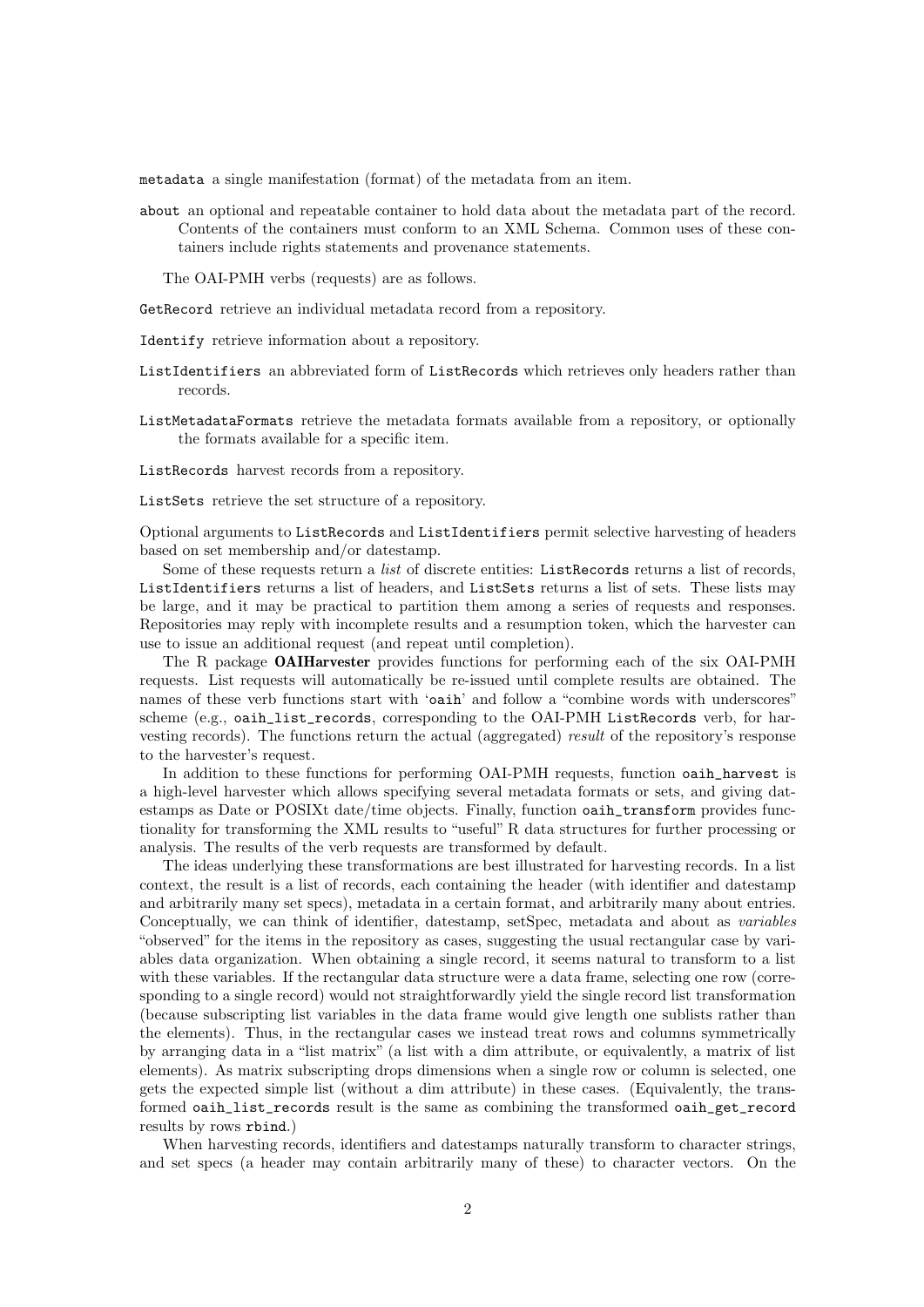metadata a single manifestation (format) of the metadata from an item.

about an optional and repeatable container to hold data about the metadata part of the record. Contents of the containers must conform to an XML Schema. Common uses of these containers include rights statements and provenance statements.

The OAI-PMH verbs (requests) are as follows.

GetRecord retrieve an individual metadata record from a repository.

Identify retrieve information about a repository.

- ListIdentifiers an abbreviated form of ListRecords which retrieves only headers rather than records.
- ListMetadataFormats retrieve the metadata formats available from a repository, or optionally the formats available for a specific item.

ListRecords harvest records from a repository.

ListSets retrieve the set structure of a repository.

Optional arguments to ListRecords and ListIdentifiers permit selective harvesting of headers based on set membership and/or datestamp.

Some of these requests return a list of discrete entities: ListRecords returns a list of records, ListIdentifiers returns a list of headers, and ListSets returns a list of sets. These lists may be large, and it may be practical to partition them among a series of requests and responses. Repositories may reply with incomplete results and a resumption token, which the harvester can use to issue an additional request (and repeat until completion).

The R package OAIHarvester provides functions for performing each of the six OAI-PMH requests. List requests will automatically be re-issued until complete results are obtained. The names of these verb functions start with 'oaih' and follow a "combine words with underscores" scheme (e.g., oaih\_list\_records, corresponding to the OAI-PMH ListRecords verb, for harvesting records). The functions return the actual (aggregated) result of the repository's response to the harvester's request.

In addition to these functions for performing OAI-PMH requests, function oaih\_harvest is a high-level harvester which allows specifying several metadata formats or sets, and giving datestamps as Date or POSIXt date/time objects. Finally, function oaih\_transform provides functionality for transforming the XML results to "useful" R data structures for further processing or analysis. The results of the verb requests are transformed by default.

The ideas underlying these transformations are best illustrated for harvesting records. In a list context, the result is a list of records, each containing the header (with identifier and datestamp and arbitrarily many set specs), metadata in a certain format, and arbitrarily many about entries. Conceptually, we can think of identifier, datestamp, setSpec, metadata and about as *variables* "observed" for the items in the repository as cases, suggesting the usual rectangular case by variables data organization. When obtaining a single record, it seems natural to transform to a list with these variables. If the rectangular data structure were a data frame, selecting one row (corresponding to a single record) would not straightforwardly yield the single record list transformation (because subscripting list variables in the data frame would give length one sublists rather than the elements). Thus, in the rectangular cases we instead treat rows and columns symmetrically by arranging data in a "list matrix" (a list with a dim attribute, or equivalently, a matrix of list elements). As matrix subscripting drops dimensions when a single row or column is selected, one gets the expected simple list (without a dim attribute) in these cases. (Equivalently, the transformed oaih\_list\_records result is the same as combining the transformed oaih\_get\_record results by rows rbind.)

When harvesting records, identifiers and datestamps naturally transform to character strings, and set specs (a header may contain arbitrarily many of these) to character vectors. On the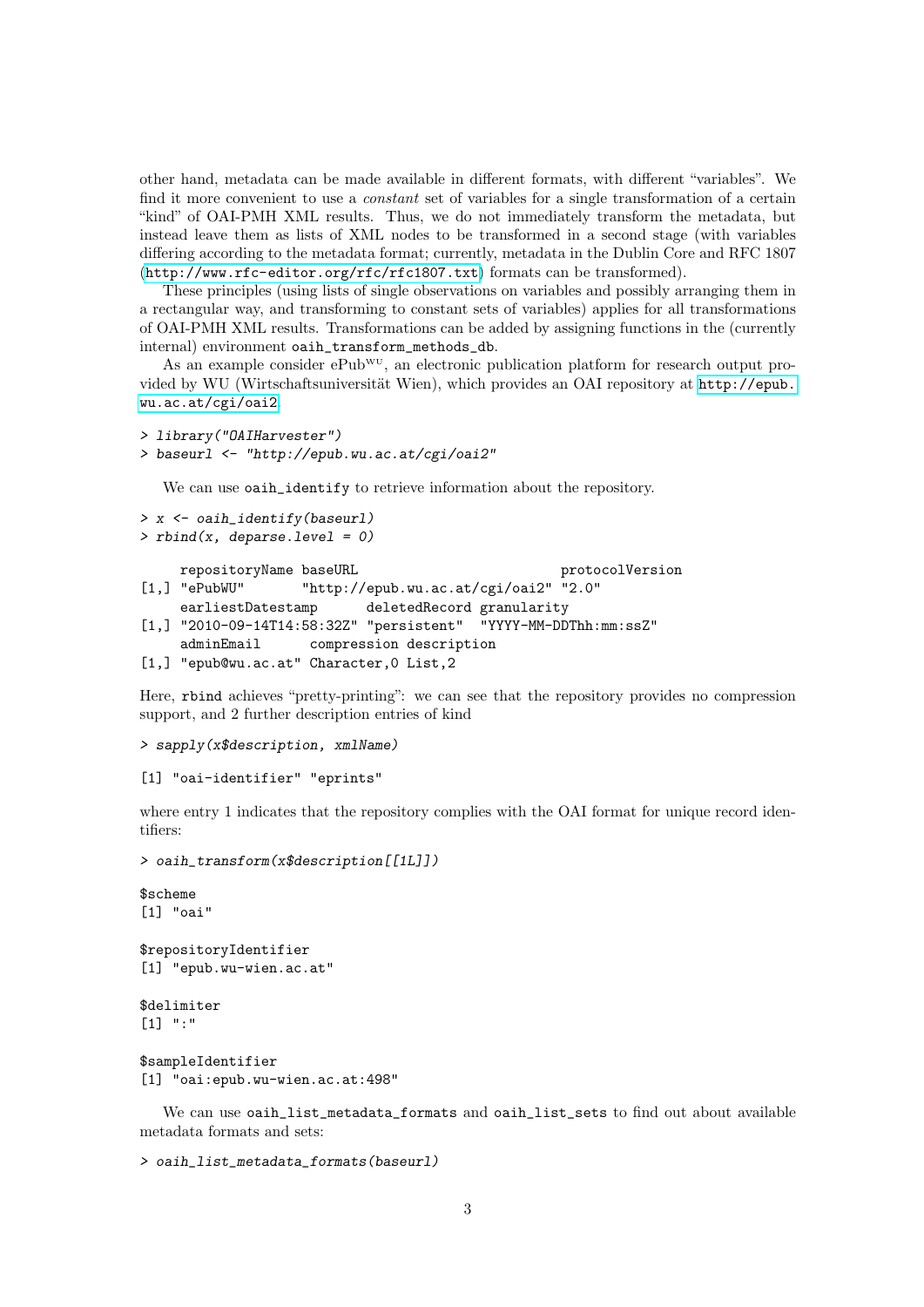other hand, metadata can be made available in different formats, with different "variables". We find it more convenient to use a *constant* set of variables for a single transformation of a certain "kind" of OAI-PMH XML results. Thus, we do not immediately transform the metadata, but instead leave them as lists of XML nodes to be transformed in a second stage (with variables differing according to the metadata format; currently, metadata in the Dublin Core and RFC 1807 (<http://www.rfc-editor.org/rfc/rfc1807.txt>) formats can be transformed).

These principles (using lists of single observations on variables and possibly arranging them in a rectangular way, and transforming to constant sets of variables) applies for all transformations of OAI-PMH XML results. Transformations can be added by assigning functions in the (currently internal) environment oaih\_transform\_methods\_db.

As an example consider  $ePub^{w}$ , an electronic publication platform for research output provided by WU (Wirtschaftsuniversität Wien), which provides an OAI repository at [http://epub.](http://epub.wu.ac.at/cgi/oai2) [wu.ac.at/cgi/oai2](http://epub.wu.ac.at/cgi/oai2).

```
> library("OAIHarvester")
```

```
> baseurl <- "http://epub.wu.ac.at/cgi/oai2"
```
We can use oaih\_identify to retrieve information about the repository.

```
> x <- oaih_identify(baseurl)
```

```
> rbind(x, <i>deparse.length = 0</i>)
```

```
repositoryName baseURL example of the protocolVersion
[1,] "ePubWU" "http://epub.wu.ac.at/cgi/oai2" "2.0"
    earliestDatestamp deletedRecord granularity
```

```
[1,] "2010-09-14T14:58:32Z" "persistent" "YYYY-MM-DDThh:mm:ssZ"
```

```
adminEmail compression description
```

```
[1,] "epub@wu.ac.at" Character,0 List,2
```
Here, rbind achieves "pretty-printing": we can see that the repository provides no compression support, and 2 further description entries of kind

```
> sapply(x$description, xmlName)
```

```
[1] "oai-identifier" "eprints"
```
where entry 1 indicates that the repository complies with the OAI format for unique record identifiers:

```
> oaih_transform(x$description[[1L]])
```

```
$scheme
[1] "oai"
$repositoryIdentifier
[1] "epub.wu-wien.ac.at"
```
\$delimiter [1] ":"

```
$sampleIdentifier
[1] "oai:epub.wu-wien.ac.at:498"
```
We can use oaih\_list\_metadata\_formats and oaih\_list\_sets to find out about available metadata formats and sets:

```
> oaih_list_metadata_formats(baseurl)
```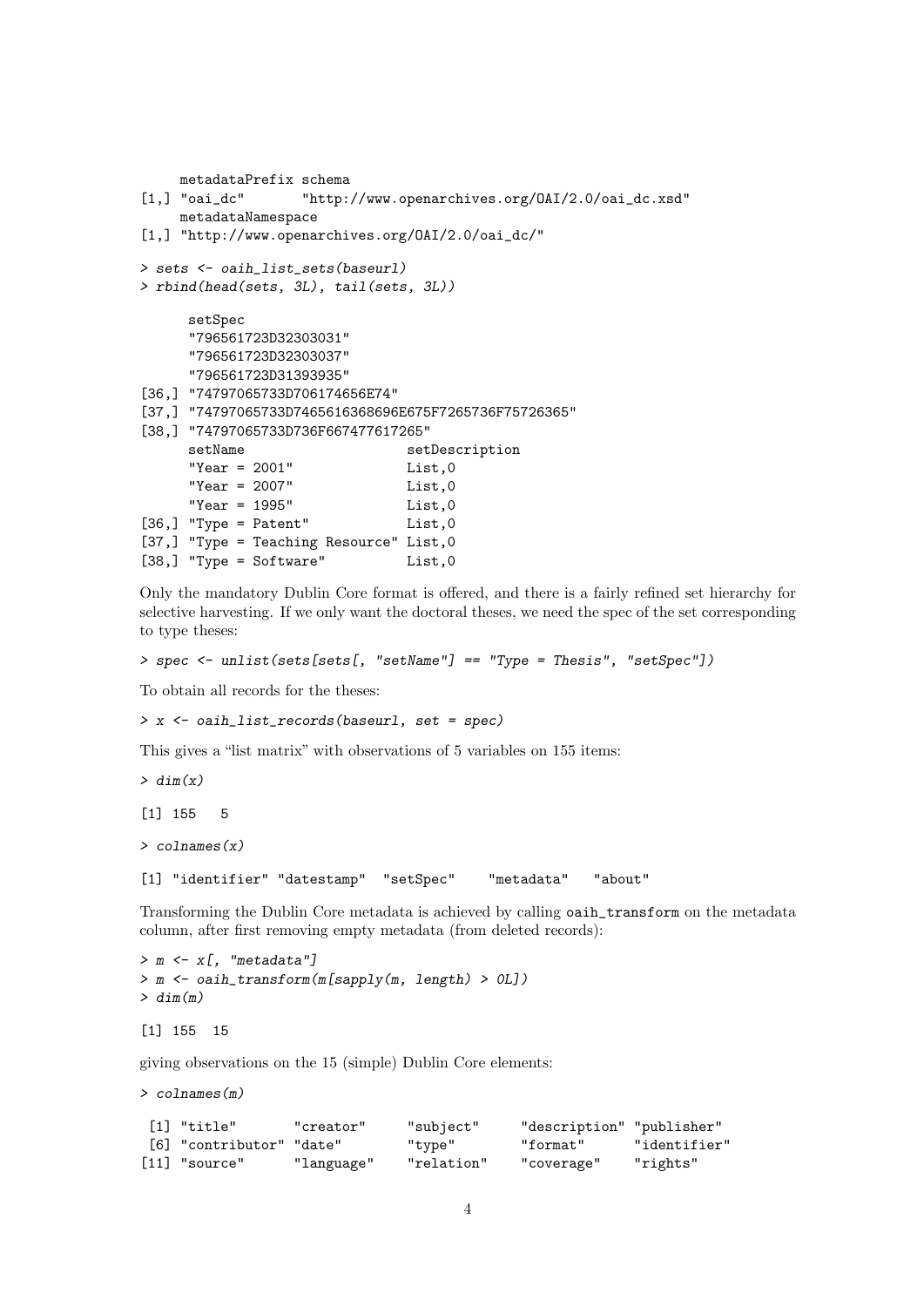```
metadataPrefix schema<br>[1.] "oai_dc" "http:
                  "http://www.openarchives.org/OAI/2.0/oai_dc.xsd"
    metadataNamespace
[1,] "http://www.openarchives.org/0AI/2.0/oai_dc/"
> sets <- oaih_list_sets(baseurl)
> rbind(head(sets, 3L), tail(sets, 3L))
     setSpec
     "796561723D32303031"
     "796561723D32303037"
     "796561723D31393935"
[36,] "74797065733D706174656E74"
[37,] "74797065733D7465616368696E675F7265736F75726365"
[38,] "74797065733D736F667477617265"
     setName setDescription
     "Year = 2001" List,0
     "Year = 2007" List,0
     "Year = 1995" List,0
[36,] "Type = Patent" List, 0
[37,] "Type = Teaching Resource" List, 0
[38,] "Type = Software" List,0
```
Only the mandatory Dublin Core format is offered, and there is a fairly refined set hierarchy for selective harvesting. If we only want the doctoral theses, we need the spec of the set corresponding to type theses:

```
> spec <- unlist(sets[sets[, "setName"] == "Type = Thesis", "setSpec"])
```
To obtain all records for the theses:

> x <- oaih\_list\_records(baseurl, set = spec)

This gives a "list matrix" with observations of 5 variables on 155 items:

 $> dim(x)$ 

[1] 155 5

 $>$  colnames $(x)$ 

[1] "identifier" "datestamp" "setSpec" "metadata" "about"

Transforming the Dublin Core metadata is achieved by calling oaih\_transform on the metadata column, after first removing empty metadata (from deleted records):

```
> m \le x[, "metadata"]
> m <- oaih_transform(m[sapply(m, length) > 0L])
> dim(m)
```
[1] 155 15

giving observations on the 15 (simple) Dublin Core elements:

> colnames(m)

| [1] "title"              | "creator"  | "subject"  | "description" "publisher" |              |
|--------------------------|------------|------------|---------------------------|--------------|
| [6] "contributor" "date" |            | "type"     | "format"                  | "identifier" |
| $[11]$ "source"          | "language" | "relation" | "coverage"                | "rights"     |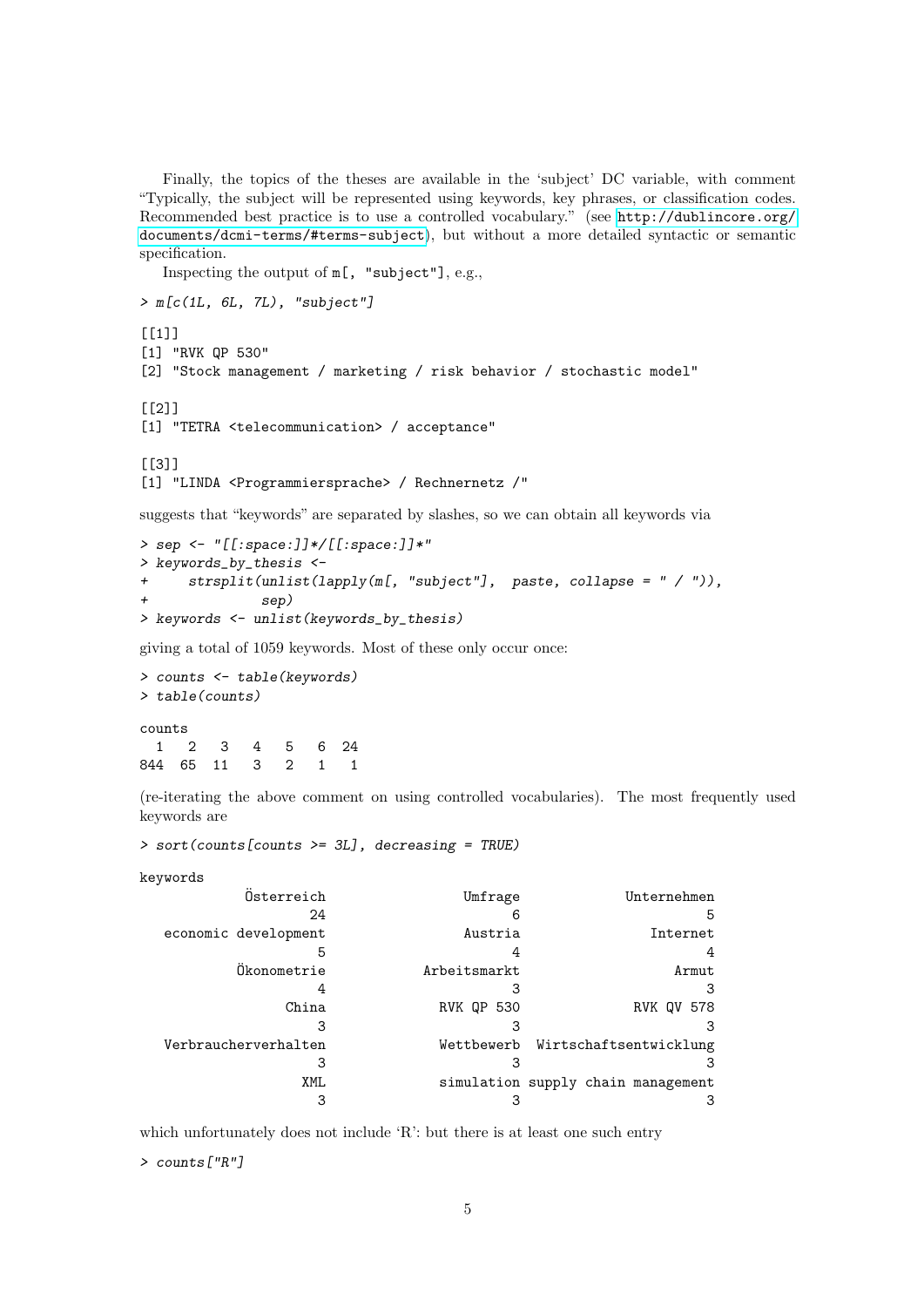Finally, the topics of the theses are available in the 'subject' DC variable, with comment "Typically, the subject will be represented using keywords, key phrases, or classification codes. Recommended best practice is to use a controlled vocabulary." (see [http://dublincore.org/](http://dublincore.org/documents/dcmi-terms/#terms-subject) [documents/dcmi-terms/#terms-subject](http://dublincore.org/documents/dcmi-terms/#terms-subject)), but without a more detailed syntactic or semantic specification.

Inspecting the output of m[, "subject"], e.g.,

```
> m[c(1L, 6L, 7L), "subject"]
[[1]]
[1] "RVK QP 530"
[2] "Stock management / marketing / risk behavior / stochastic model"
[[2]]
[1] "TETRA <telecommunication> / acceptance"
[[3]]
[1] "LINDA <Programmiersprache> / Rechnernetz /"
```
suggests that "keywords" are separated by slashes, so we can obtain all keywords via

```
> sep <- "[[:space:]]*/[[:space:]]*"
> keywords_by_thesis <-
+ strsplit(unlist(lapply(m[, "subject"], paste, collapse = " / ")),
              sep)
> keywords <- unlist(keywords_by_thesis)
```
giving a total of 1059 keywords. Most of these only occur once:

```
> counts <- table(keywords)
> table(counts)
counts
 1 2 3 4 5 6 24
844 65 11 3 2 1 1
```
(re-iterating the above comment on using controlled vocabularies). The most frequently used keywords are

> sort(counts[counts >= 3L], decreasing = TRUE)

keywords

| Österreich           | Umfrage           | Unternehmen                        |
|----------------------|-------------------|------------------------------------|
| 24                   |                   | 5                                  |
| economic development | Austria           | Internet                           |
| 5                    |                   |                                    |
| Ökonometrie          | Arbeitsmarkt      | Armut                              |
|                      |                   | 3                                  |
| China                | <b>RVK QP 530</b> | <b>RVK QV 578</b>                  |
|                      |                   | 3                                  |
| Verbraucherverhalten |                   | Wettbewerb Wirtschaftsentwicklung  |
|                      |                   |                                    |
| XML                  |                   | simulation supply chain management |
|                      |                   |                                    |

which unfortunately does not include 'R': but there is at least one such entry

```
> counts["R"]
```